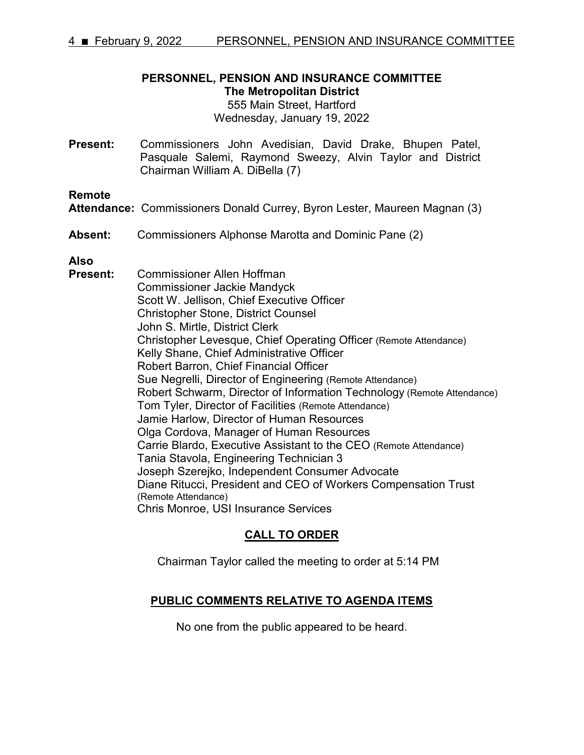# **PERSONNEL, PENSION AND INSURANCE COMMITTEE The Metropolitan District**

555 Main Street, Hartford Wednesday, January 19, 2022

**Present:** Commissioners John Avedisian, David Drake, Bhupen Patel, Pasquale Salemi, Raymond Sweezy, Alvin Taylor and District Chairman William A. DiBella (7)

**Remote**

- **Attendance:** Commissioners Donald Currey, Byron Lester, Maureen Magnan (3)
- **Absent:** Commissioners Alphonse Marotta and Dominic Pane (2)

**Also**

**Present:** Commissioner Allen Hoffman Commissioner Jackie Mandyck Scott W. Jellison, Chief Executive Officer Christopher Stone, District Counsel John S. Mirtle, District Clerk Christopher Levesque, Chief Operating Officer (Remote Attendance) Kelly Shane, Chief Administrative Officer Robert Barron, Chief Financial Officer Sue Negrelli, Director of Engineering (Remote Attendance) Robert Schwarm, Director of Information Technology (Remote Attendance) Tom Tyler, Director of Facilities (Remote Attendance) Jamie Harlow, Director of Human Resources Olga Cordova, Manager of Human Resources Carrie Blardo, Executive Assistant to the CEO (Remote Attendance) Tania Stavola, Engineering Technician 3 Joseph Szerejko, Independent Consumer Advocate Diane Ritucci, President and CEO of Workers Compensation Trust (Remote Attendance) Chris Monroe, USI Insurance Services

## **CALL TO ORDER**

Chairman Taylor called the meeting to order at 5:14 PM

## **PUBLIC COMMENTS RELATIVE TO AGENDA ITEMS**

No one from the public appeared to be heard.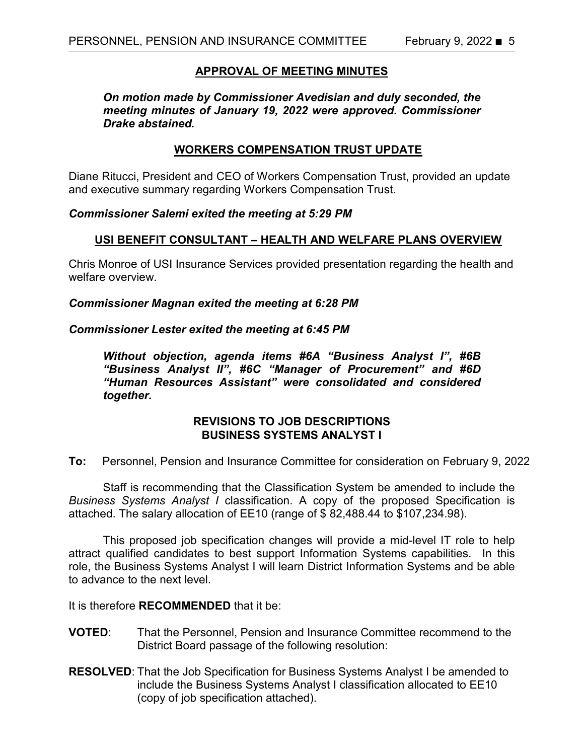## **APPROVAL OF MEETING MINUTES**

*On motion made by Commissioner Avedisian and duly seconded, the meeting minutes of January 19, 2022 were approved. Commissioner Drake abstained.*

## **WORKERS COMPENSATION TRUST UPDATE**

Diane Ritucci, President and CEO of Workers Compensation Trust, provided an update and executive summary regarding Workers Compensation Trust.

## *Commissioner Salemi exited the meeting at 5:29 PM*

## **USI BENEFIT CONSULTANT – HEALTH AND WELFARE PLANS OVERVIEW**

Chris Monroe of USI Insurance Services provided presentation regarding the health and welfare overview.

## *Commissioner Magnan exited the meeting at 6:28 PM*

## *Commissioner Lester exited the meeting at 6:45 PM*

*Without objection, agenda items #6A "Business Analyst I", #6B "Business Analyst II", #6C "Manager of Procurement" and #6D "Human Resources Assistant" were consolidated and considered together.* 

## **REVISIONS TO JOB DESCRIPTIONS BUSINESS SYSTEMS ANALYST I**

**To:** Personnel, Pension and Insurance Committee for consideration on February 9, 2022

Staff is recommending that the Classification System be amended to include the *Business Systems Analyst I* classification. A copy of the proposed Specification is attached. The salary allocation of EE10 (range of \$ 82,488.44 to \$107,234.98).

This proposed job specification changes will provide a mid-level IT role to help attract qualified candidates to best support Information Systems capabilities. In this role, the Business Systems Analyst I will learn District Information Systems and be able to advance to the next level.

It is therefore **RECOMMENDED** that it be:

- **VOTED**: That the Personnel, Pension and Insurance Committee recommend to the District Board passage of the following resolution:
- **RESOLVED**: That the Job Specification for Business Systems Analyst I be amended to include the Business Systems Analyst I classification allocated to EE10 (copy of job specification attached).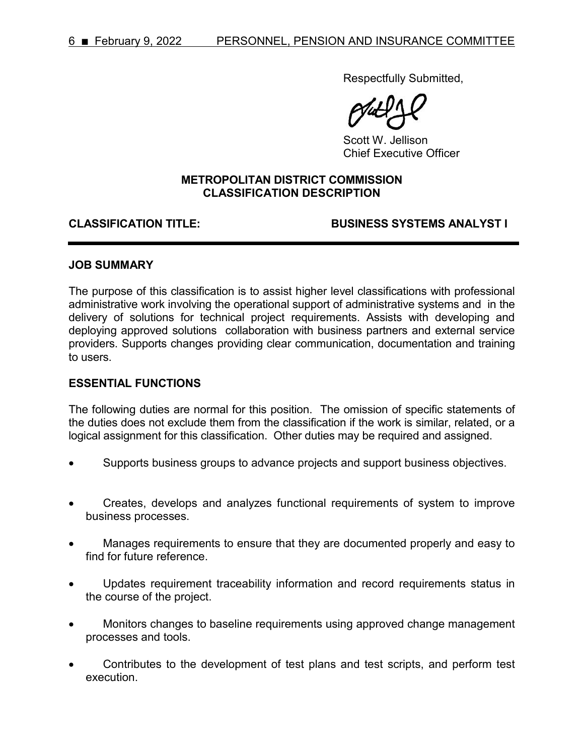Respectfully Submitted,

Scott W. Jellison Chief Executive Officer

## **METROPOLITAN DISTRICT COMMISSION CLASSIFICATION DESCRIPTION**

### **CLASSIFICATION TITLE: BUSINESS SYSTEMS ANALYST I**

### **JOB SUMMARY**

The purpose of this classification is to assist higher level classifications with professional administrative work involving the operational support of administrative systems and in the delivery of solutions for technical project requirements. Assists with developing and deploying approved solutions collaboration with business partners and external service providers. Supports changes providing clear communication, documentation and training to users.

## **ESSENTIAL FUNCTIONS**

The following duties are normal for this position. The omission of specific statements of the duties does not exclude them from the classification if the work is similar, related, or a logical assignment for this classification. Other duties may be required and assigned.

- Supports business groups to advance projects and support business objectives.
- Creates, develops and analyzes functional requirements of system to improve business processes.
- Manages requirements to ensure that they are documented properly and easy to find for future reference.
- Updates requirement traceability information and record requirements status in the course of the project.
- Monitors changes to baseline requirements using approved change management processes and tools.
- Contributes to the development of test plans and test scripts, and perform test execution.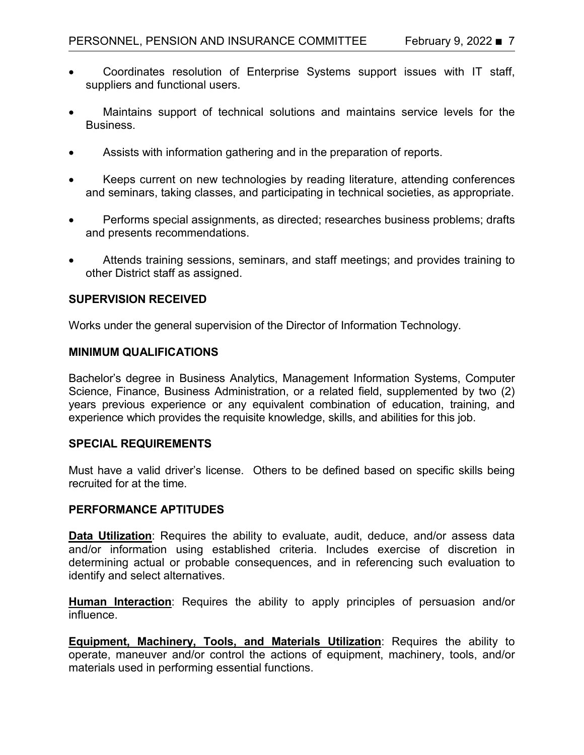- Coordinates resolution of Enterprise Systems support issues with IT staff, suppliers and functional users.
- Maintains support of technical solutions and maintains service levels for the Business.
- Assists with information gathering and in the preparation of reports.
- Keeps current on new technologies by reading literature, attending conferences and seminars, taking classes, and participating in technical societies, as appropriate.
- Performs special assignments, as directed; researches business problems; drafts and presents recommendations.
- Attends training sessions, seminars, and staff meetings; and provides training to other District staff as assigned.

## **SUPERVISION RECEIVED**

Works under the general supervision of the Director of Information Technology.

## **MINIMUM QUALIFICATIONS**

Bachelor's degree in Business Analytics, Management Information Systems, Computer Science, Finance, Business Administration, or a related field, supplemented by two (2) years previous experience or any equivalent combination of education, training, and experience which provides the requisite knowledge, skills, and abilities for this job.

## **SPECIAL REQUIREMENTS**

Must have a valid driver's license. Others to be defined based on specific skills being recruited for at the time.

## **PERFORMANCE APTITUDES**

**Data Utilization**: Requires the ability to evaluate, audit, deduce, and/or assess data and/or information using established criteria. Includes exercise of discretion in determining actual or probable consequences, and in referencing such evaluation to identify and select alternatives.

**Human Interaction**: Requires the ability to apply principles of persuasion and/or influence.

**Equipment, Machinery, Tools, and Materials Utilization**: Requires the ability to operate, maneuver and/or control the actions of equipment, machinery, tools, and/or materials used in performing essential functions.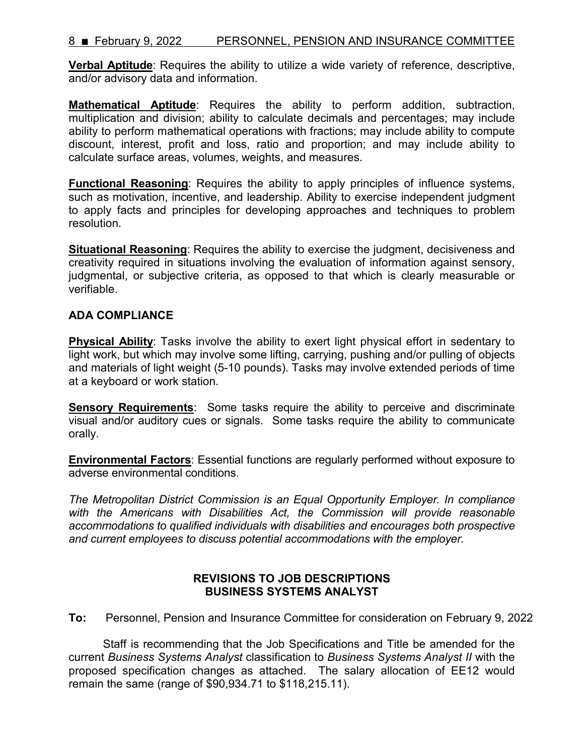## 8 February 9, 2022 PERSONNEL, PENSION AND INSURANCE COMMITTEE

**Verbal Aptitude**: Requires the ability to utilize a wide variety of reference, descriptive, and/or advisory data and information.

**Mathematical Aptitude**: Requires the ability to perform addition, subtraction, multiplication and division; ability to calculate decimals and percentages; may include ability to perform mathematical operations with fractions; may include ability to compute discount, interest, profit and loss, ratio and proportion; and may include ability to calculate surface areas, volumes, weights, and measures.

**Functional Reasoning**: Requires the ability to apply principles of influence systems, such as motivation, incentive, and leadership. Ability to exercise independent judgment to apply facts and principles for developing approaches and techniques to problem resolution.

**Situational Reasoning:** Requires the ability to exercise the judgment, decisiveness and creativity required in situations involving the evaluation of information against sensory, judgmental, or subjective criteria, as opposed to that which is clearly measurable or verifiable.

## **ADA COMPLIANCE**

**Physical Ability**: Tasks involve the ability to exert light physical effort in sedentary to light work, but which may involve some lifting, carrying, pushing and/or pulling of objects and materials of light weight (5-10 pounds). Tasks may involve extended periods of time at a keyboard or work station.

**Sensory Requirements**: Some tasks require the ability to perceive and discriminate visual and/or auditory cues or signals. Some tasks require the ability to communicate orally.

**Environmental Factors**: Essential functions are regularly performed without exposure to adverse environmental conditions.

*The Metropolitan District Commission is an Equal Opportunity Employer. In compliance with the Americans with Disabilities Act, the Commission will provide reasonable accommodations to qualified individuals with disabilities and encourages both prospective and current employees to discuss potential accommodations with the employer.*

## **REVISIONS TO JOB DESCRIPTIONS BUSINESS SYSTEMS ANALYST**

**To:** Personnel, Pension and Insurance Committee for consideration on February 9, 2022

Staff is recommending that the Job Specifications and Title be amended for the current *Business Systems Analyst* classification to *Business Systems Analyst II* with the proposed specification changes as attached. The salary allocation of EE12 would remain the same (range of \$90,934.71 to \$118,215.11).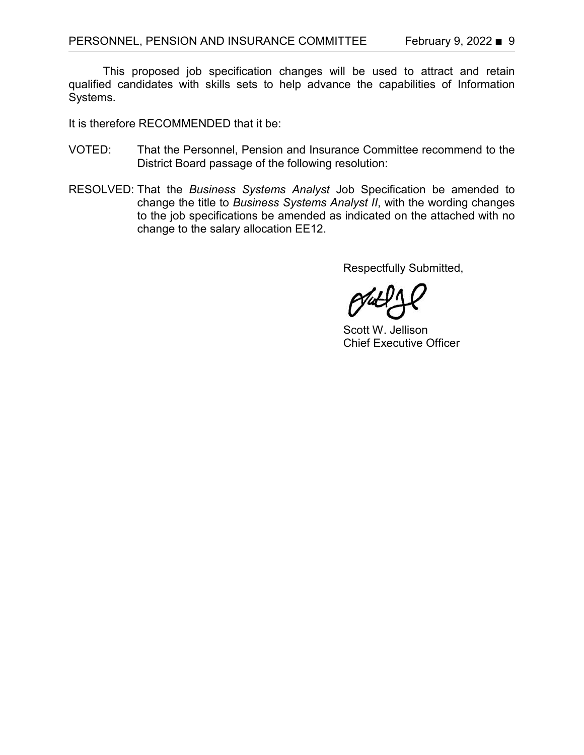This proposed job specification changes will be used to attract and retain qualified candidates with skills sets to help advance the capabilities of Information Systems.

It is therefore RECOMMENDED that it be:

- VOTED: That the Personnel, Pension and Insurance Committee recommend to the District Board passage of the following resolution:
- RESOLVED: That the *Business Systems Analyst* Job Specification be amended to change the title to *Business Systems Analyst II*, with the wording changes to the job specifications be amended as indicated on the attached with no change to the salary allocation EE12.

Respectfully Submitted,

Scott W. Jellison Chief Executive Officer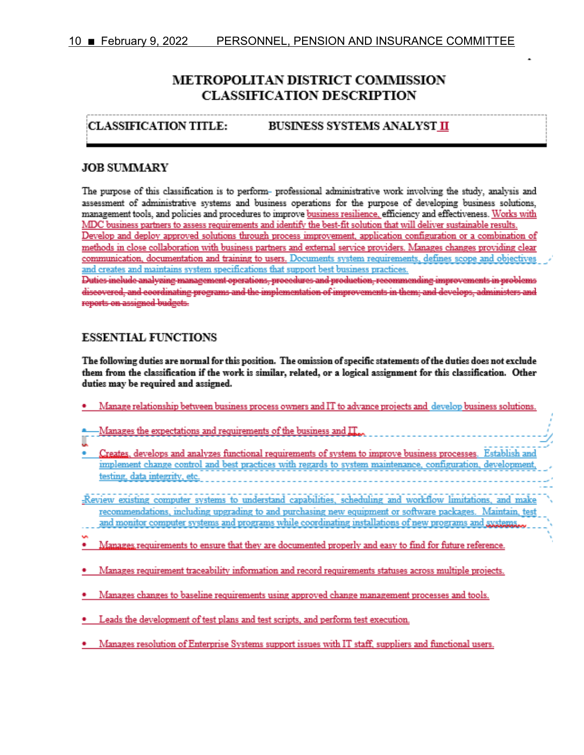# METROPOLITAN DISTRICT COMMISSION **CLASSIFICATION DESCRIPTION**

#### **CLASSIFICATION TITLE: BUSINESS SYSTEMS ANALYST II**

## **JOB SUMMARY**

The purpose of this classification is to perform- professional administrative work involving the study, analysis and assessment of administrative systems and business operations for the purpose of developing business solutions, management tools, and policies and procedures to improve business resilience, efficiency and effectiveness. Works with MDC business partners to assess requirements and identify the best-fit solution that will deliver sustainable results. Develop and deploy approved solutions through process improvement, application configuration or a combination of methods in close collaboration with business partners and external service providers. Manages changes providing clear communication, documentation and training to users. Documents system requirements, defines scope and objectives and creates and maintains system specifications that support best business practices. Duties include analyzing management operations, procedures and production, recommending improvements in problems discovered, and coordinating programs and the implementation of improvements in them; and develops, administers and reports on assigned budgets.

## **ESSENTIAL FUNCTIONS**

The following duties are normal for this position. The omission of specific statements of the duties does not exclude them from the classification if the work is similar, related, or a logical assignment for this classification. Other duties may be required and assigned.

| Manage relationship between business process owners and IT to advance projects and develop business solutions.       |
|----------------------------------------------------------------------------------------------------------------------|
|                                                                                                                      |
| Manages the expectations and requirements of the business and $\prod_{\alpha\alpha}$                                 |
|                                                                                                                      |
|                                                                                                                      |
| Creates, develops and analyzes functional requirements of system to improve business processes. Establish and        |
| implement change control and best practices with regards to system maintenance, configuration, development,          |
| testing, data integrity, etc.<br>the contract of the contract of the contract of the contract of the contract of the |
|                                                                                                                      |
| -Review existing computer systems to understand capabilities, scheduling and workflow limitations, and make          |
|                                                                                                                      |
| recommendations, including upgrading to and purchasing new equipment or software packages. Maintain, test            |
| and monitor computer systems and programs while coordinating installations of new programs and systems               |
|                                                                                                                      |
| Manages requirements to ensure that they are documented properly and easy to find for future reference.              |
|                                                                                                                      |
|                                                                                                                      |
| Manages requirement traceability information and record requirements statuses across multiple projects.              |
|                                                                                                                      |
| Manages changes to baseline requirements using approved change management processes and tools.                       |
|                                                                                                                      |
|                                                                                                                      |
| Leads the development of test plans and test scripts, and perform test execution.                                    |
|                                                                                                                      |
| Manages resolution of Enterprise Systems support issues with IT staff, suppliers and functional users.               |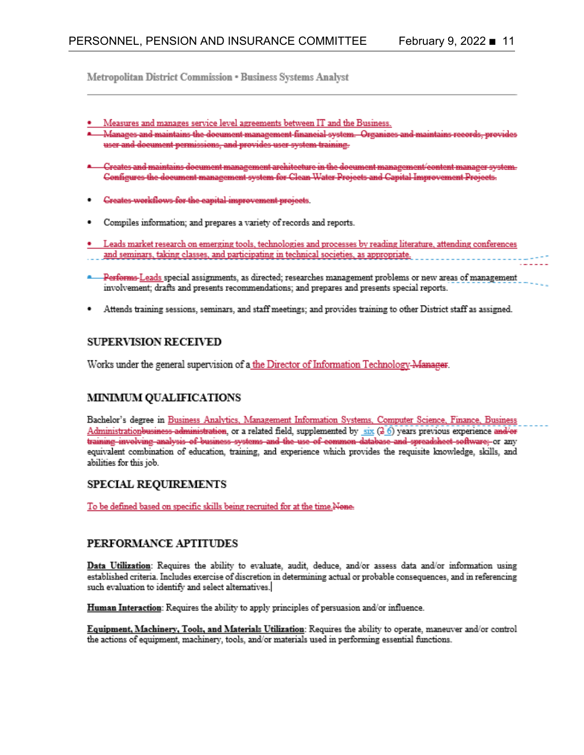Metropolitan District Commission . Business Systems Analyst

- Measures and manages service level agreements between IT and the Business.
- \* Manages and maintains the document management financial system. Organizes and maintains records, provides user and document permissions, and provides user system training.
- \* Creates and maintains document management architecture in the document management/content manager system. Configures the document management system for Clean Water Projects and Capital Improvement Projects.
- Creates workflows for the eapital improvement projects.
- Compiles information; and prepares a variety of records and reports.
- Leads market research on emerging tools, technologies and processes by reading literature, attending conferences and seminars, taking classes, and participating in technical societies, as appropriate.
- **Performs-Leads** special assignments, as directed; researches management problems or new areas of management involvement; drafts and presents recommendations; and prepares and presents special reports.
- Attends training sessions, seminars, and staff meetings; and provides training to other District staff as assigned.

#### **SUPERVISION RECEIVED**

Works under the general supervision of a the Director of Information Technology-Manager.

### **MINIMUM QUALIFICATIONS**

Bachelor's degree in Business Analytics, Management Information Systems, Computer Science, Finance, Business Administrationbusiness-administration, or a related field, supplemented by six (3.6) years previous experience and/or training involving analysis of business systems and the use of common database and spreadsheet software; or any equivalent combination of education, training, and experience which provides the requisite knowledge, skills, and abilities for this job.

#### SPECIAL REQUIREMENTS

To be defined based on specific skills being recruited for at the time.Nene-

#### PERFORMANCE APTITUDES

Data Utilization: Requires the ability to evaluate, audit, deduce, and/or assess data and/or information using established criteria. Includes exercise of discretion in determining actual or probable consequences, and in referencing such evaluation to identify and select alternatives.

Human Interaction: Requires the ability to apply principles of persuasion and/or influence.

Equipment, Machinery, Tools, and Materials Utilization: Requires the ability to operate, maneuver and/or control the actions of equipment, machinery, tools, and/or materials used in performing essential functions.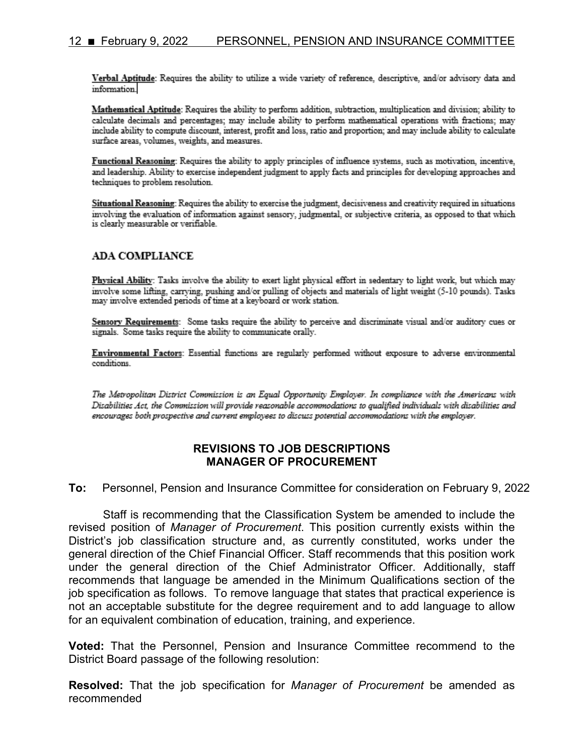Verbal Aptitude: Requires the ability to utilize a wide variety of reference, descriptive, and/or advisory data and information.

Mathematical Aptitude: Requires the ability to perform addition, subtraction, multiplication and division; ability to calculate decimals and percentages; may include ability to perform mathematical operations with fractions; may include ability to compute discount, interest, profit and loss, ratio and proportion; and may include ability to calculate surface areas, volumes, weights, and measures.

Functional Reasoning: Requires the ability to apply principles of influence systems, such as motivation, incentive, and leadership. Ability to exercise independent judgment to apply facts and principles for developing approaches and techniques to problem resolution.

Situational Reasoning: Requires the ability to exercise the judgment, decisiveness and creativity required in situations involving the evaluation of information against sensory, judgmental, or subjective criteria, as opposed to that which is clearly measurable or verifiable.

#### **ADA COMPLIANCE**

Physical Ability: Tasks involve the ability to exert light physical effort in sedentary to light work, but which may involve some lifting, carrying, pushing and/or pulling of objects and materials of light weight (5-10 pounds). Tasks may involve extended periods of time at a keyboard or work station.

Sensory Requirements: Some tasks require the ability to perceive and discriminate visual and/or auditory cues or signals. Some tasks require the ability to communicate orally.

Environmental Factors: Essential functions are regularly performed without exposure to adverse environmental conditions.

The Metropolitan District Commission is an Equal Opportunity Employer. In compliance with the Americans with Disabilities Act, the Commission will provide reasonable accommodations to qualified individuals with disabilities and encourages both prospective and current employees to discuss potential accommodations with the employer.

## **REVISIONS TO JOB DESCRIPTIONS MANAGER OF PROCUREMENT**

**To:** Personnel, Pension and Insurance Committee for consideration on February 9, 2022

Staff is recommending that the Classification System be amended to include the revised position of *Manager of Procurement*. This position currently exists within the District's job classification structure and, as currently constituted, works under the general direction of the Chief Financial Officer. Staff recommends that this position work under the general direction of the Chief Administrator Officer. Additionally, staff recommends that language be amended in the Minimum Qualifications section of the job specification as follows. To remove language that states that practical experience is not an acceptable substitute for the degree requirement and to add language to allow for an equivalent combination of education, training, and experience.

**Voted:** That the Personnel, Pension and Insurance Committee recommend to the District Board passage of the following resolution:

**Resolved:** That the job specification for *Manager of Procurement* be amended as recommended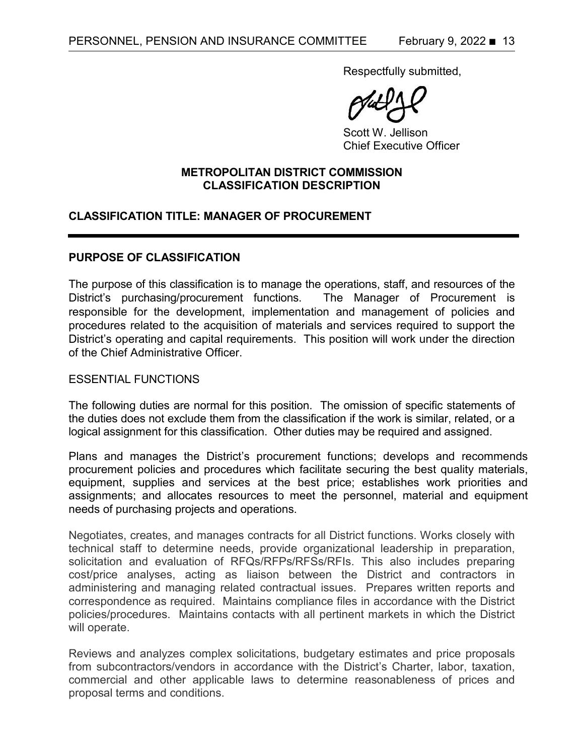Respectfully submitted,

Scott W. Jellison Chief Executive Officer

## **METROPOLITAN DISTRICT COMMISSION CLASSIFICATION DESCRIPTION**

## **CLASSIFICATION TITLE: MANAGER OF PROCUREMENT**

## **PURPOSE OF CLASSIFICATION**

The purpose of this classification is to manage the operations, staff, and resources of the District's purchasing/procurement functions. The Manager of Procurement is responsible for the development, implementation and management of policies and procedures related to the acquisition of materials and services required to support the District's operating and capital requirements. This position will work under the direction of the Chief Administrative Officer.

## ESSENTIAL FUNCTIONS

The following duties are normal for this position. The omission of specific statements of the duties does not exclude them from the classification if the work is similar, related, or a logical assignment for this classification. Other duties may be required and assigned.

Plans and manages the District's procurement functions; develops and recommends procurement policies and procedures which facilitate securing the best quality materials, equipment, supplies and services at the best price; establishes work priorities and assignments; and allocates resources to meet the personnel, material and equipment needs of purchasing projects and operations.

Negotiates, creates, and manages contracts for all District functions. Works closely with technical staff to determine needs, provide organizational leadership in preparation, solicitation and evaluation of RFQs/RFPs/RFSs/RFIs. This also includes preparing cost/price analyses, acting as liaison between the District and contractors in administering and managing related contractual issues. Prepares written reports and correspondence as required. Maintains compliance files in accordance with the District policies/procedures. Maintains contacts with all pertinent markets in which the District will operate.

Reviews and analyzes complex solicitations, budgetary estimates and price proposals from subcontractors/vendors in accordance with the District's Charter, labor, taxation, commercial and other applicable laws to determine reasonableness of prices and proposal terms and conditions.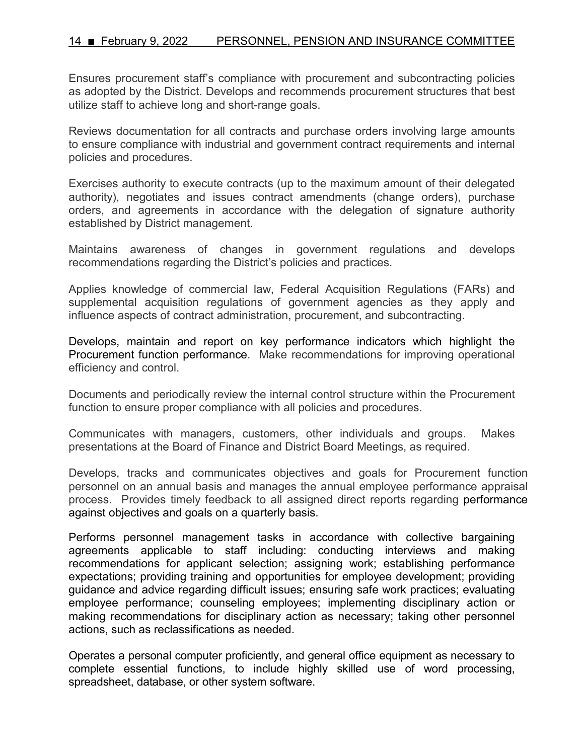## 14 February 9, 2022 PERSONNEL, PENSION AND INSURANCE COMMITTEE

Ensures procurement staff's compliance with procurement and subcontracting policies as adopted by the District. Develops and recommends procurement structures that best utilize staff to achieve long and short-range goals.

Reviews documentation for all contracts and purchase orders involving large amounts to ensure compliance with industrial and government contract requirements and internal policies and procedures.

Exercises authority to execute contracts (up to the maximum amount of their delegated authority), negotiates and issues contract amendments (change orders), purchase orders, and agreements in accordance with the delegation of signature authority established by District management.

Maintains awareness of changes in government regulations and develops recommendations regarding the District's policies and practices.

Applies knowledge of commercial law, Federal Acquisition Regulations (FARs) and supplemental acquisition regulations of government agencies as they apply and influence aspects of contract administration, procurement, and subcontracting.

Develops, maintain and report on key performance indicators which highlight the Procurement function performance. Make recommendations for improving operational efficiency and control.

Documents and periodically review the internal control structure within the Procurement function to ensure proper compliance with all policies and procedures.

Communicates with managers, customers, other individuals and groups. Makes presentations at the Board of Finance and District Board Meetings, as required.

Develops, tracks and communicates objectives and goals for Procurement function personnel on an annual basis and manages the annual employee performance appraisal process. Provides timely feedback to all assigned direct reports regarding performance against objectives and goals on a quarterly basis.

Performs personnel management tasks in accordance with collective bargaining agreements applicable to staff including: conducting interviews and making recommendations for applicant selection; assigning work; establishing performance expectations; providing training and opportunities for employee development; providing guidance and advice regarding difficult issues; ensuring safe work practices; evaluating employee performance; counseling employees; implementing disciplinary action or making recommendations for disciplinary action as necessary; taking other personnel actions, such as reclassifications as needed.

Operates a personal computer proficiently, and general office equipment as necessary to complete essential functions, to include highly skilled use of word processing, spreadsheet, database, or other system software.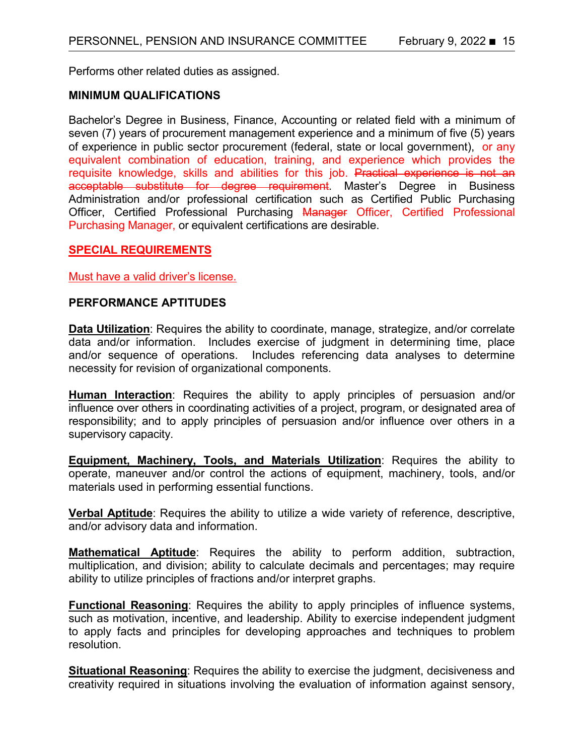Performs other related duties as assigned.

## **MINIMUM QUALIFICATIONS**

Bachelor's Degree in Business, Finance, Accounting or related field with a minimum of seven (7) years of procurement management experience and a minimum of five (5) years of experience in public sector procurement (federal, state or local government), or any equivalent combination of education, training, and experience which provides the requisite knowledge, skills and abilities for this job. Practical experience is not an acceptable substitute for degree requirement. Master's Degree in Business Administration and/or professional certification such as Certified Public Purchasing Officer, Certified Professional Purchasing Manager Officer, Certified Professional Purchasing Manager, or equivalent certifications are desirable.

## **SPECIAL REQUIREMENTS**

Must have a valid driver's license.

## **PERFORMANCE APTITUDES**

**Data Utilization**: Requires the ability to coordinate, manage, strategize, and/or correlate data and/or information. Includes exercise of judgment in determining time, place and/or sequence of operations. Includes referencing data analyses to determine necessity for revision of organizational components.

**Human Interaction**: Requires the ability to apply principles of persuasion and/or influence over others in coordinating activities of a project, program, or designated area of responsibility; and to apply principles of persuasion and/or influence over others in a supervisory capacity.

**Equipment, Machinery, Tools, and Materials Utilization**: Requires the ability to operate, maneuver and/or control the actions of equipment, machinery, tools, and/or materials used in performing essential functions.

**Verbal Aptitude**: Requires the ability to utilize a wide variety of reference, descriptive, and/or advisory data and information.

**Mathematical Aptitude**: Requires the ability to perform addition, subtraction, multiplication, and division; ability to calculate decimals and percentages; may require ability to utilize principles of fractions and/or interpret graphs.

**Functional Reasoning**: Requires the ability to apply principles of influence systems, such as motivation, incentive, and leadership. Ability to exercise independent judgment to apply facts and principles for developing approaches and techniques to problem resolution.

**Situational Reasoning:** Requires the ability to exercise the judgment, decisiveness and creativity required in situations involving the evaluation of information against sensory,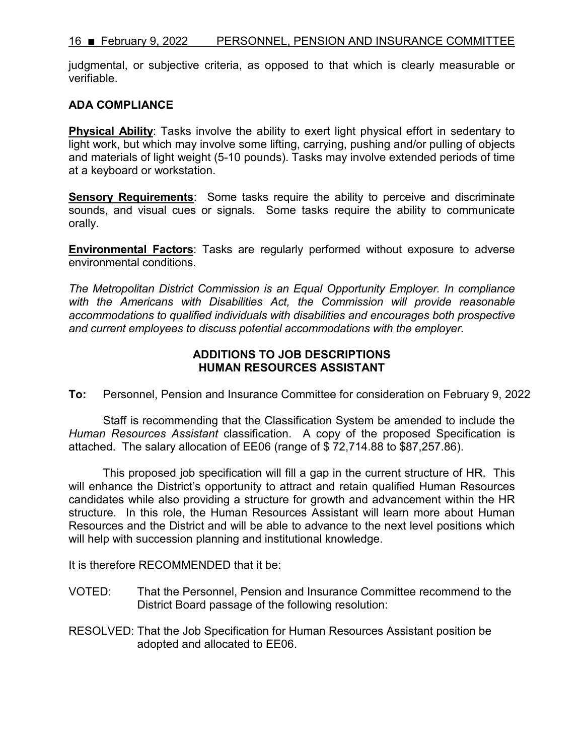judgmental, or subjective criteria, as opposed to that which is clearly measurable or verifiable.

## **ADA COMPLIANCE**

**Physical Ability**: Tasks involve the ability to exert light physical effort in sedentary to light work, but which may involve some lifting, carrying, pushing and/or pulling of objects and materials of light weight (5-10 pounds). Tasks may involve extended periods of time at a keyboard or workstation.

**Sensory Requirements**: Some tasks require the ability to perceive and discriminate sounds, and visual cues or signals. Some tasks require the ability to communicate orally.

**Environmental Factors**: Tasks are regularly performed without exposure to adverse environmental conditions.

*The Metropolitan District Commission is an Equal Opportunity Employer. In compliance*  with the Americans with Disabilities Act, the Commission will provide reasonable *accommodations to qualified individuals with disabilities and encourages both prospective and current employees to discuss potential accommodations with the employer.*

## **ADDITIONS TO JOB DESCRIPTIONS HUMAN RESOURCES ASSISTANT**

**To:** Personnel, Pension and Insurance Committee for consideration on February 9, 2022

Staff is recommending that the Classification System be amended to include the *Human Resources Assistant* classification. A copy of the proposed Specification is attached. The salary allocation of EE06 (range of \$ 72,714.88 to \$87,257.86).

This proposed job specification will fill a gap in the current structure of HR. This will enhance the District's opportunity to attract and retain qualified Human Resources candidates while also providing a structure for growth and advancement within the HR structure. In this role, the Human Resources Assistant will learn more about Human Resources and the District and will be able to advance to the next level positions which will help with succession planning and institutional knowledge.

It is therefore RECOMMENDED that it be:

- VOTED: That the Personnel, Pension and Insurance Committee recommend to the District Board passage of the following resolution:
- RESOLVED: That the Job Specification for Human Resources Assistant position be adopted and allocated to EE06.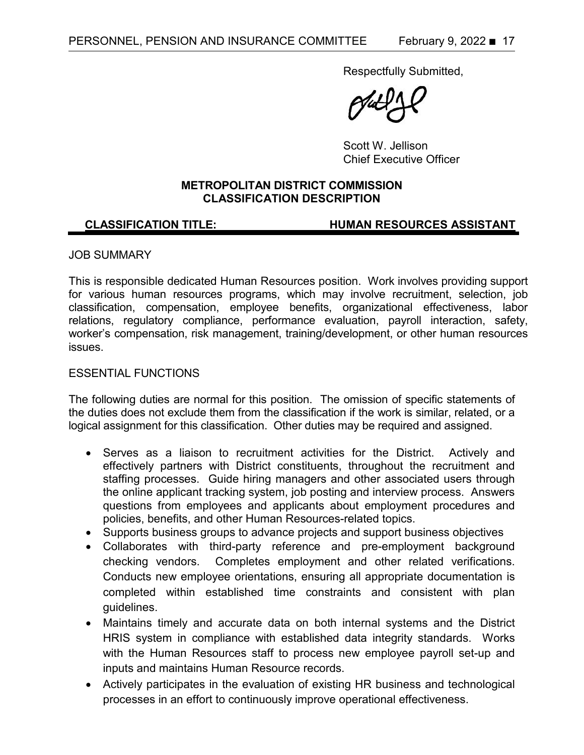Respectfully Submitted,

Scott W. Jellison Chief Executive Officer

## **METROPOLITAN DISTRICT COMMISSION CLASSIFICATION DESCRIPTION**

## **CLASSIFICATION TITLE: HUMAN RESOURCES ASSISTANT**

## JOB SUMMARY

This is responsible dedicated Human Resources position. Work involves providing support for various human resources programs, which may involve recruitment, selection, job classification, compensation, employee benefits, organizational effectiveness, labor relations, regulatory compliance, performance evaluation, payroll interaction, safety, worker's compensation, risk management, training/development, or other human resources issues.

## ESSENTIAL FUNCTIONS

The following duties are normal for this position. The omission of specific statements of the duties does not exclude them from the classification if the work is similar, related, or a logical assignment for this classification. Other duties may be required and assigned.

- Serves as a liaison to recruitment activities for the District. Actively and effectively partners with District constituents, throughout the recruitment and staffing processes. Guide hiring managers and other associated users through the online applicant tracking system, job posting and interview process. Answers questions from employees and applicants about employment procedures and policies, benefits, and other Human Resources-related topics.
- Supports business groups to advance projects and support business objectives
- Collaborates with third-party reference and pre-employment background checking vendors. Completes employment and other related verifications. Conducts new employee orientations, ensuring all appropriate documentation is completed within established time constraints and consistent with plan guidelines.
- Maintains timely and accurate data on both internal systems and the District HRIS system in compliance with established data integrity standards. Works with the Human Resources staff to process new employee payroll set-up and inputs and maintains Human Resource records.
- Actively participates in the evaluation of existing HR business and technological processes in an effort to continuously improve operational effectiveness.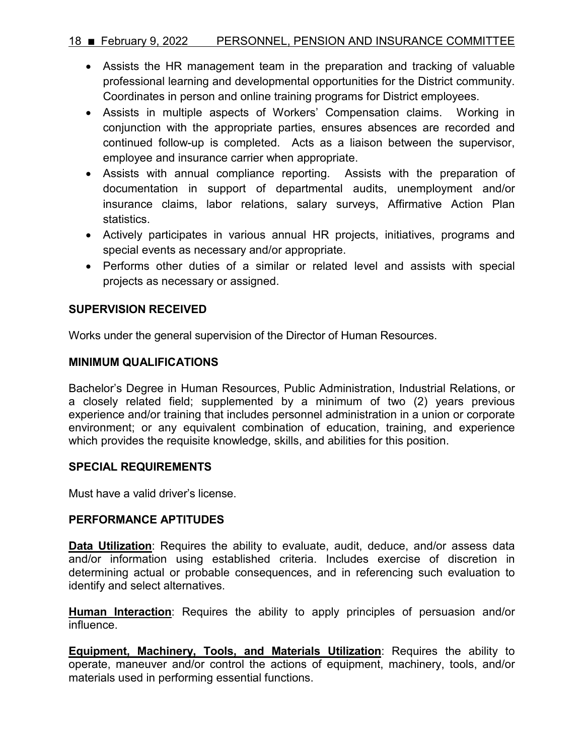## 18 February 9, 2022 PERSONNEL, PENSION AND INSURANCE COMMITTEE

- Assists the HR management team in the preparation and tracking of valuable professional learning and developmental opportunities for the District community. Coordinates in person and online training programs for District employees.
- Assists in multiple aspects of Workers' Compensation claims. Working in conjunction with the appropriate parties, ensures absences are recorded and continued follow-up is completed. Acts as a liaison between the supervisor, employee and insurance carrier when appropriate.
- Assists with annual compliance reporting. Assists with the preparation of documentation in support of departmental audits, unemployment and/or insurance claims, labor relations, salary surveys, Affirmative Action Plan statistics.
- Actively participates in various annual HR projects, initiatives, programs and special events as necessary and/or appropriate.
- Performs other duties of a similar or related level and assists with special projects as necessary or assigned.

## **SUPERVISION RECEIVED**

Works under the general supervision of the Director of Human Resources.

## **MINIMUM QUALIFICATIONS**

Bachelor's Degree in Human Resources, Public Administration, Industrial Relations, or a closely related field; supplemented by a minimum of two (2) years previous experience and/or training that includes personnel administration in a union or corporate environment; or any equivalent combination of education, training, and experience which provides the requisite knowledge, skills, and abilities for this position.

## **SPECIAL REQUIREMENTS**

Must have a valid driver's license.

## **PERFORMANCE APTITUDES**

**Data Utilization**: Requires the ability to evaluate, audit, deduce, and/or assess data and/or information using established criteria. Includes exercise of discretion in determining actual or probable consequences, and in referencing such evaluation to identify and select alternatives.

**Human Interaction**: Requires the ability to apply principles of persuasion and/or influence.

**Equipment, Machinery, Tools, and Materials Utilization**: Requires the ability to operate, maneuver and/or control the actions of equipment, machinery, tools, and/or materials used in performing essential functions.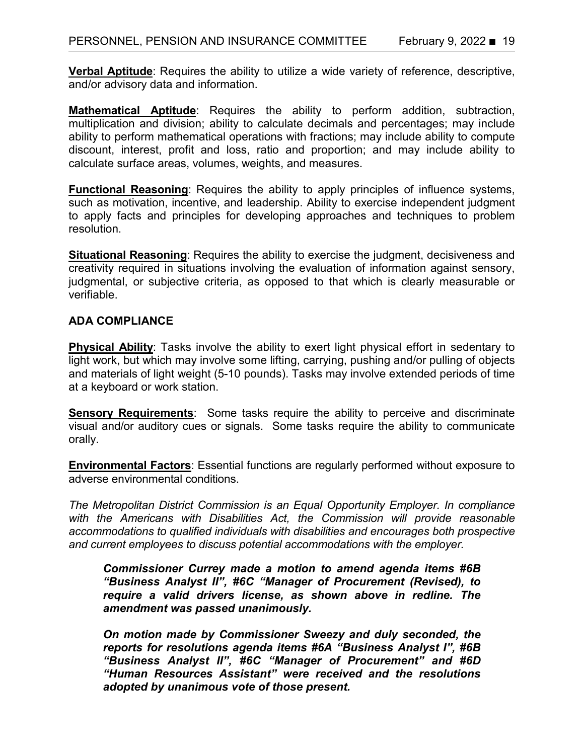**Verbal Aptitude**: Requires the ability to utilize a wide variety of reference, descriptive, and/or advisory data and information.

**Mathematical Aptitude**: Requires the ability to perform addition, subtraction, multiplication and division; ability to calculate decimals and percentages; may include ability to perform mathematical operations with fractions; may include ability to compute discount, interest, profit and loss, ratio and proportion; and may include ability to calculate surface areas, volumes, weights, and measures.

**Functional Reasoning**: Requires the ability to apply principles of influence systems, such as motivation, incentive, and leadership. Ability to exercise independent judgment to apply facts and principles for developing approaches and techniques to problem resolution.

**Situational Reasoning**: Requires the ability to exercise the judgment, decisiveness and creativity required in situations involving the evaluation of information against sensory, judgmental, or subjective criteria, as opposed to that which is clearly measurable or verifiable.

## **ADA COMPLIANCE**

**Physical Ability**: Tasks involve the ability to exert light physical effort in sedentary to light work, but which may involve some lifting, carrying, pushing and/or pulling of objects and materials of light weight (5-10 pounds). Tasks may involve extended periods of time at a keyboard or work station.

**Sensory Requirements**: Some tasks require the ability to perceive and discriminate visual and/or auditory cues or signals. Some tasks require the ability to communicate orally.

**Environmental Factors**: Essential functions are regularly performed without exposure to adverse environmental conditions.

*The Metropolitan District Commission is an Equal Opportunity Employer. In compliance*  with the Americans with Disabilities Act, the Commission will provide reasonable *accommodations to qualified individuals with disabilities and encourages both prospective and current employees to discuss potential accommodations with the employer.*

*Commissioner Currey made a motion to amend agenda items #6B "Business Analyst II", #6C "Manager of Procurement (Revised), to require a valid drivers license, as shown above in redline. The amendment was passed unanimously.* 

*On motion made by Commissioner Sweezy and duly seconded, the reports for resolutions agenda items #6A "Business Analyst I", #6B "Business Analyst II", #6C "Manager of Procurement" and #6D "Human Resources Assistant" were received and the resolutions adopted by unanimous vote of those present.*